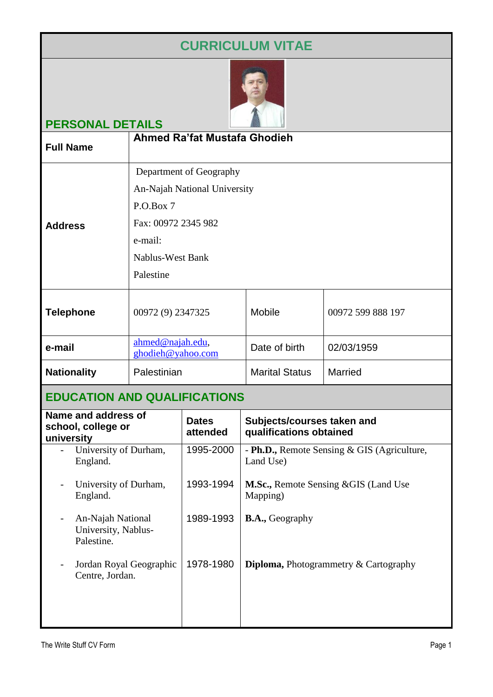# **CURRICULUM VITAE**



## **PERSONAL DETAILS**

| <b>Full Name</b>   | Ahmed Ra'fat Mustafa Ghodieh                                                                                                                   |                       |                   |
|--------------------|------------------------------------------------------------------------------------------------------------------------------------------------|-----------------------|-------------------|
| <b>Address</b>     | Department of Geography<br>An-Najah National University<br>P.O.Box 7<br>Fax: 00972 2345 982<br>e-mail:<br><b>Nablus-West Bank</b><br>Palestine |                       |                   |
| <b>Telephone</b>   | 00972 (9) 2347325                                                                                                                              | <b>Mobile</b>         | 00972 599 888 197 |
| e-mail             | ahmed@najah.edu,<br>ghodieh@yahoo.com                                                                                                          | Date of birth         | 02/03/1959        |
| <b>Nationality</b> | Palestinian                                                                                                                                    | <b>Marital Status</b> | <b>Married</b>    |
|                    |                                                                                                                                                |                       |                   |

## **EDUCATION AND QUALIFICATIONS**

| Name and address of<br>school, college or<br>university | <b>Dates</b><br>attended | Subjects/courses taken and<br>qualifications obtained        |
|---------------------------------------------------------|--------------------------|--------------------------------------------------------------|
| University of Durham,<br>England.                       | 1995-2000                | - Ph.D., Remote Sensing & GIS (Agriculture,<br>Land Use)     |
| University of Durham,<br>England.                       | 1993-1994                | <b>M.Sc., Remote Sensing &amp; GIS (Land Use</b><br>Mapping) |
| An-Najah National<br>University, Nablus-<br>Palestine.  | 1989-1993                | <b>B.A.</b> , Geography                                      |
| Jordan Royal Geographic<br>Centre, Jordan.              | 1978-1980                | <b>Diploma, Photogrammetry &amp; Cartography</b>             |
|                                                         |                          |                                                              |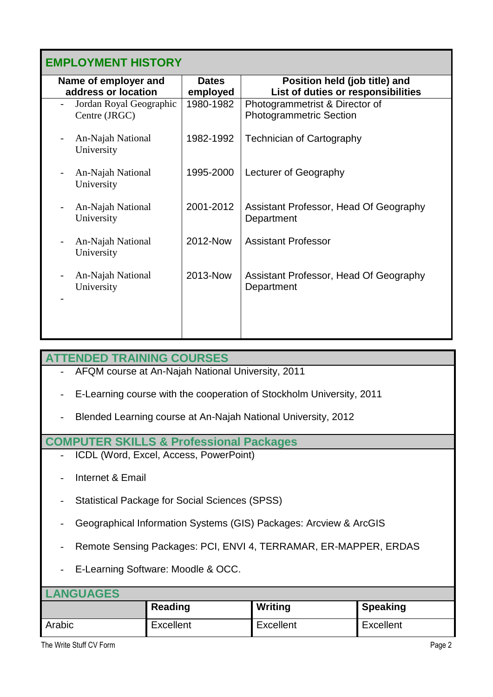## **EMPLOYMENT HISTORY**

| Name of employer and            | <b>Dates</b> | Position held (job title) and                        |  |  |
|---------------------------------|--------------|------------------------------------------------------|--|--|
| address or location             | employed     | List of duties or responsibilities                   |  |  |
| Jordan Royal Geographic         | 1980-1982    | Photogrammetrist & Director of                       |  |  |
| Centre (JRGC)                   |              | <b>Photogrammetric Section</b>                       |  |  |
| An-Najah National<br>University | 1982-1992    | <b>Technician of Cartography</b>                     |  |  |
| An-Najah National<br>University | 1995-2000    | Lecturer of Geography                                |  |  |
| An-Najah National<br>University | 2001-2012    | Assistant Professor, Head Of Geography<br>Department |  |  |
| An-Najah National<br>University | 2012-Now     | <b>Assistant Professor</b>                           |  |  |
| An-Najah National<br>University | 2013-Now     | Assistant Professor, Head Of Geography<br>Department |  |  |
|                                 |              |                                                      |  |  |

#### **ATTENDED TRAINING COURSES**

- AFQM course at An-Najah National University, 2011
- E-Learning course with the cooperation of Stockholm University, 2011
- Blended Learning course at An-Najah National University, 2012

#### **COMPUTER SKILLS & Professional Packages**

- ICDL (Word, Excel, Access, PowerPoint)
- Internet & Email
- Statistical Package for Social Sciences (SPSS)
- Geographical Information Systems (GIS) Packages: Arcview & ArcGIS
- Remote Sensing Packages: PCI, ENVI 4, TERRAMAR, ER-MAPPER, ERDAS
- E-Learning Software: Moodle & OCC.

### **LANGUAGES**

|        | Reading   | Writing   | Speaking  |
|--------|-----------|-----------|-----------|
| Arabic | Excellent | Excellent | Excellent |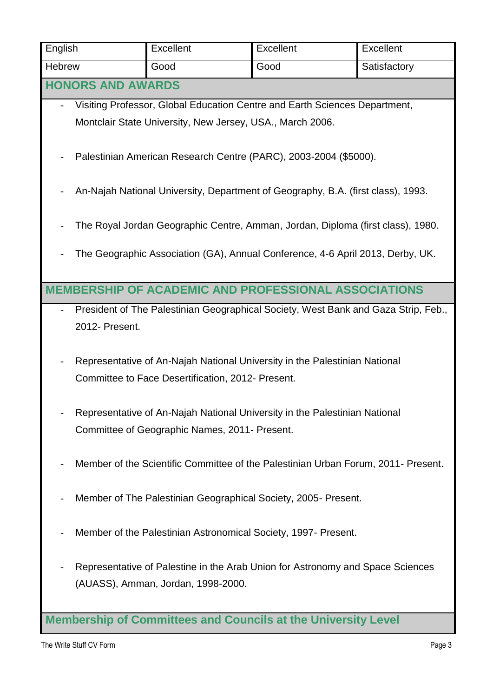| English                                                                                                                     | Excellent                                                                                                                       | Excellent                                                                          | Excellent    |  |
|-----------------------------------------------------------------------------------------------------------------------------|---------------------------------------------------------------------------------------------------------------------------------|------------------------------------------------------------------------------------|--------------|--|
| <b>Hebrew</b>                                                                                                               | Good                                                                                                                            | Good                                                                               | Satisfactory |  |
| <b>HONORS AND AWARDS</b>                                                                                                    |                                                                                                                                 |                                                                                    |              |  |
|                                                                                                                             |                                                                                                                                 | Visiting Professor, Global Education Centre and Earth Sciences Department,         |              |  |
|                                                                                                                             | Montclair State University, New Jersey, USA., March 2006.                                                                       |                                                                                    |              |  |
|                                                                                                                             | Palestinian American Research Centre (PARC), 2003-2004 (\$5000).                                                                |                                                                                    |              |  |
| An-Najah National University, Department of Geography, B.A. (first class), 1993.                                            |                                                                                                                                 |                                                                                    |              |  |
| The Royal Jordan Geographic Centre, Amman, Jordan, Diploma (first class), 1980.                                             |                                                                                                                                 |                                                                                    |              |  |
|                                                                                                                             | The Geographic Association (GA), Annual Conference, 4-6 April 2013, Derby, UK.                                                  |                                                                                    |              |  |
|                                                                                                                             |                                                                                                                                 | <b>MEMBERSHIP OF ACADEMIC AND PROFESSIONAL ASSOCIATIONS</b>                        |              |  |
|                                                                                                                             |                                                                                                                                 | President of The Palestinian Geographical Society, West Bank and Gaza Strip, Feb., |              |  |
| 2012- Present.                                                                                                              |                                                                                                                                 |                                                                                    |              |  |
|                                                                                                                             | Representative of An-Najah National University in the Palestinian National<br>Committee to Face Desertification, 2012- Present. |                                                                                    |              |  |
| Representative of An-Najah National University in the Palestinian National<br>Committee of Geographic Names, 2011- Present. |                                                                                                                                 |                                                                                    |              |  |
| Member of the Scientific Committee of the Palestinian Urban Forum, 2011- Present.                                           |                                                                                                                                 |                                                                                    |              |  |
| Member of The Palestinian Geographical Society, 2005- Present.                                                              |                                                                                                                                 |                                                                                    |              |  |
| Member of the Palestinian Astronomical Society, 1997- Present.                                                              |                                                                                                                                 |                                                                                    |              |  |
|                                                                                                                             | (AUASS), Amman, Jordan, 1998-2000.                                                                                              | Representative of Palestine in the Arab Union for Astronomy and Space Sciences     |              |  |
| <b>Membership of Committees and Councils at the University Level</b>                                                        |                                                                                                                                 |                                                                                    |              |  |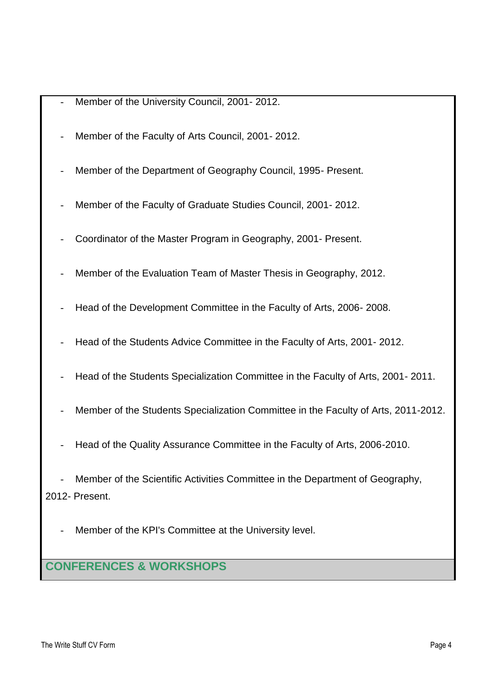- Member of the University Council, 2001-2012.
- Member of the Faculty of Arts Council, 2001-2012.
- Member of the Department of Geography Council, 1995- Present.
- Member of the Faculty of Graduate Studies Council, 2001-2012.
- Coordinator of the Master Program in Geography, 2001- Present.
- Member of the Evaluation Team of Master Thesis in Geography, 2012.
- Head of the Development Committee in the Faculty of Arts, 2006-2008.
- Head of the Students Advice Committee in the Faculty of Arts, 2001-2012.
- Head of the Students Specialization Committee in the Faculty of Arts, 2001- 2011.
- Member of the Students Specialization Committee in the Faculty of Arts, 2011-2012.
- Head of the Quality Assurance Committee in the Faculty of Arts, 2006-2010.

Member of the Scientific Activities Committee in the Department of Geography, 2012- Present.

Member of the KPI's Committee at the University level.

### **CONFERENCES & WORKSHOPS**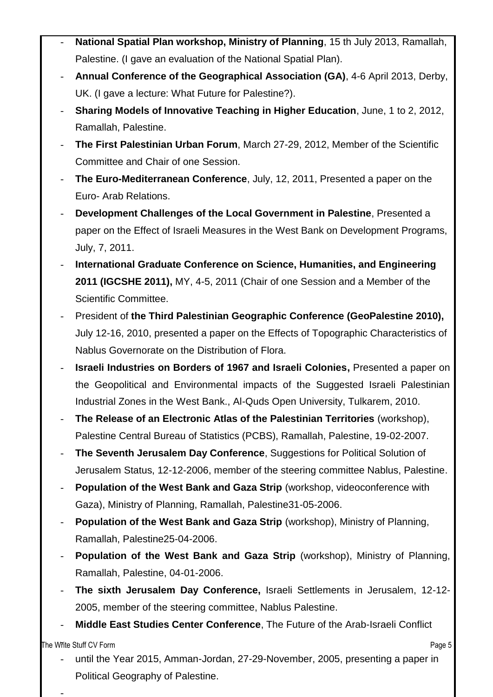- **National Spatial Plan workshop, Ministry of Planning**, 15 th July 2013, Ramallah, Palestine. (I gave an evaluation of the National Spatial Plan).
- **Annual Conference of the Geographical Association (GA)**, 4-6 April 2013, Derby, UK. (I gave a lecture: What Future for Palestine?).
- **Sharing Models of Innovative Teaching in Higher Education**, June, 1 to 2, 2012, Ramallah, Palestine.
- **The First Palestinian Urban Forum**, March 27-29, 2012, Member of the Scientific Committee and Chair of one Session.
- **The Euro-Mediterranean Conference**, July, 12, 2011, Presented a paper on the Euro- Arab Relations.
- **Development Challenges of the Local Government in Palestine**, Presented a paper on the Effect of Israeli Measures in the West Bank on Development Programs, July, 7, 2011.
- **International Graduate Conference on Science, Humanities, and Engineering 2011 (IGCSHE 2011),** MY, 4-5, 2011 (Chair of one Session and a Member of the Scientific Committee.
- President of **the Third Palestinian Geographic Conference (GeoPalestine 2010),** July 12-16, 2010, presented a paper on the Effects of Topographic Characteristics of Nablus Governorate on the Distribution of Flora.
- **Israeli Industries on Borders of 1967 and Israeli Colonies,** Presented a paper on the Geopolitical and Environmental impacts of the Suggested Israeli Palestinian Industrial Zones in the West Bank., Al-Quds Open University, Tulkarem, 2010.
- **The Release of an Electronic Atlas of the Palestinian Territories** (workshop), Palestine Central Bureau of Statistics (PCBS), Ramallah, Palestine, 19-02-2007.
- **The Seventh Jerusalem Day Conference**, Suggestions for Political Solution of Jerusalem Status, 12-12-2006, member of the steering committee Nablus, Palestine.
- **Population of the West Bank and Gaza Strip** (workshop, videoconference with Gaza), Ministry of Planning, Ramallah, Palestine31-05-2006.
- **Population of the West Bank and Gaza Strip** (workshop), Ministry of Planning, Ramallah, Palestine25-04-2006.
- **Population of the West Bank and Gaza Strip** (workshop), Ministry of Planning, Ramallah, Palestine, 04-01-2006.
- **The sixth Jerusalem Day Conference,** Israeli Settlements in Jerusalem, 12-12- 2005, member of the steering committee, Nablus Palestine.
- **Middle East Studies Center Conference**, The Future of the Arab-Israeli Conflict

**The Write Stuff CV Form**  $\blacksquare$ 

-

until the Year 2015, Amman-Jordan, 27-29-November, 2005, presenting a paper in Political Geography of Palestine.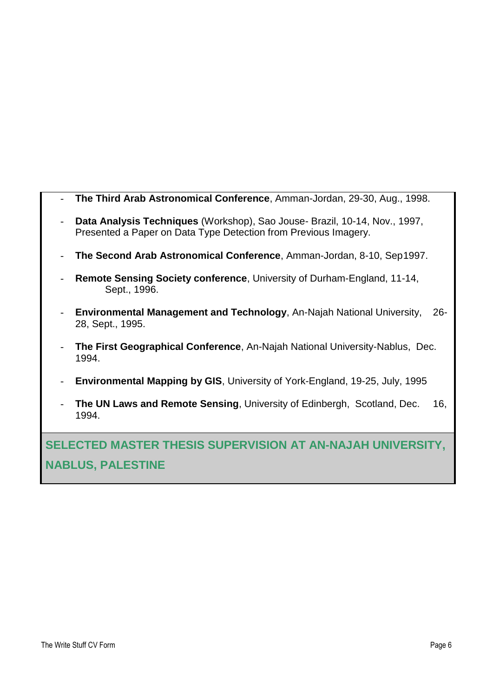| The Third Arab Astronomical Conference, Amman-Jordan, 29-30, Aug., 1998.                                                                      |
|-----------------------------------------------------------------------------------------------------------------------------------------------|
| Data Analysis Techniques (Workshop), Sao Jouse- Brazil, 10-14, Nov., 1997,<br>Presented a Paper on Data Type Detection from Previous Imagery. |
| The Second Arab Astronomical Conference, Amman-Jordan, 8-10, Sep1997.                                                                         |
| <b>Remote Sensing Society conference, University of Durham-England, 11-14,</b><br>Sept., 1996.                                                |
| <b>Environmental Management and Technology, An-Najah National University,</b><br>$26-$<br>28, Sept., 1995.                                    |
| The First Geographical Conference, An-Najah National University-Nablus, Dec.<br>1994.                                                         |

- **Environmental Mapping by GIS**, University of York-England, 19-25, July, 1995
- **The UN Laws and Remote Sensing**, University of Edinbergh, Scotland, Dec. 16, 1994.

**SELECTED MASTER THESIS SUPERVISION AT AN-NAJAH UNIVERSITY, NABLUS, PALESTINE**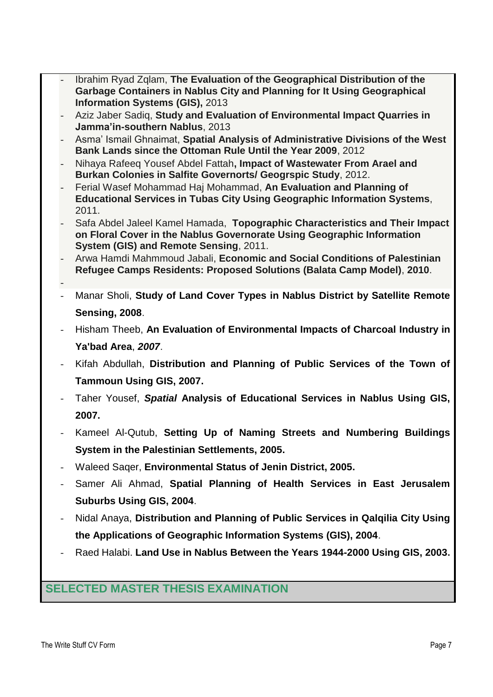- Ibrahim Ryad Zqlam, **The Evaluation of the Geographical Distribution of the Garbage Containers in Nablus City and Planning for It Using Geographical Information Systems (GIS),** 2013
- Aziz Jaber Sadiq, **Study and Evaluation of Environmental Impact Quarries in Jamma'in-southern Nablus**, 2013
- Asma' Ismail Ghnaimat, **Spatial Analysis of Administrative Divisions of the West Bank Lands since the Ottoman Rule Until the Year 2009**, 2012
- Nihaya Rafeeq Yousef Abdel Fattah**, Impact of Wastewater From Arael and Burkan Colonies in Salfite Governorts/ Geogrspic Study**, 2012.
- Ferial Wasef Mohammad Haj Mohammad, **An Evaluation and Planning of Educational Services in Tubas City Using Geographic Information Systems**, 2011.
- Safa Abdel Jaleel Kamel Hamada, **Topographic Characteristics and Their Impact on Floral Cover in the Nablus Governorate Using Geographic Information System (GIS) and Remote Sensing**, 2011.
- Arwa Hamdi Mahmmoud Jabali, **Economic and Social Conditions of Palestinian Refugee Camps Residents: Proposed Solutions (Balata Camp Model)**, **2010**.
- Manar Sholi, **Study of Land Cover Types in Nablus District by Satellite Remote Sensing, 2008**.
- Hisham Theeb, **An Evaluation of Environmental Impacts of Charcoal Industry in Ya'bad Area**, *2007*.
- Kifah Abdullah, **Distribution and Planning of Public Services of the Town of Tammoun Using GIS, 2007.**
- Taher Yousef, *Spatial* **Analysis of Educational Services in Nablus Using GIS, 2007.**
- Kameel Al-Qutub, **Setting Up of Naming Streets and Numbering Buildings System in the Palestinian Settlements, 2005.**
- Waleed Saqer, **Environmental Status of Jenin District, 2005.**
- Samer Ali Ahmad, **Spatial Planning of Health Services in East Jerusalem Suburbs Using GIS, 2004**.
- Nidal Anaya, **Distribution and Planning of Public Services in Qalqilia City Using the Applications of Geographic Information Systems (GIS), 2004**.
- Raed Halabi. **Land Use in Nablus Between the Years 1944-2000 Using GIS, 2003.**

## **SELECTED MASTER THESIS EXAMINATION**

-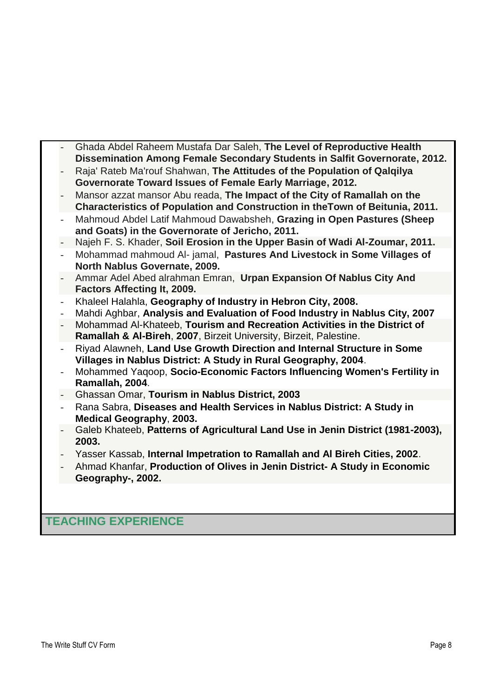- Ghada Abdel Raheem Mustafa Dar Saleh, **The Level of Reproductive Health Dissemination Among Female Secondary Students in Salfit Governorate, 2012.**
- Raja' Rateb Ma'rouf Shahwan, **The Attitudes of the Population of Qalqilya Governorate Toward Issues of Female Early Marriage, 2012.**
- Mansor azzat mansor Abu reada, **The Impact of the City of Ramallah on the Characteristics of Population and Construction in theTown of Beitunia, 2011.**
- Mahmoud Abdel Latif Mahmoud Dawabsheh, **Grazing in Open Pastures (Sheep and Goats) in the Governorate of Jericho, 2011.**
- Najeh F. S. Khader, **Soil Erosion in the Upper Basin of Wadi Al-Zoumar, 2011.**
- Mohammad mahmoud Al- jamal, **Pastures And Livestock in Some Villages of North Nablus Governate, 2009.**
- Ammar Adel Abed alrahman Emran, **Urpan Expansion Of Nablus City And Factors Affecting It, 2009.**
- Khaleel Halahla, **Geography of Industry in Hebron City, 2008.**
- Mahdi Aghbar, **Analysis and Evaluation of Food Industry in Nablus City, 2007**
- Mohammad Al-Khateeb, **Tourism and Recreation Activities in the District of Ramallah & Al-Bireh**, **2007**, Birzeit University, Birzeit, Palestine.
- Riyad Alawneh, **Land Use Growth Direction and Internal Structure in Some Villages in Nablus District: A Study in Rural Geography, 2004**.
- Mohammed Yaqoop, **Socio-Economic Factors Influencing Women's Fertility in Ramallah, 2004**.
- Ghassan Omar, **Tourism in Nablus District, 2003**
- Rana Sabra, **Diseases and Health Services in Nablus District: A Study in Medical Geography**, **2003.**
- Galeb Khateeb, **Patterns of Agricultural Land Use in Jenin District (1981-2003), 2003.**
- Yasser Kassab, **Internal Impetration to Ramallah and Al Bireh Cities, 2002**.
- Ahmad Khanfar, **Production of Olives in Jenin District- A Study in Economic Geography-, 2002.**

## **TEACHING EXPERIENCE**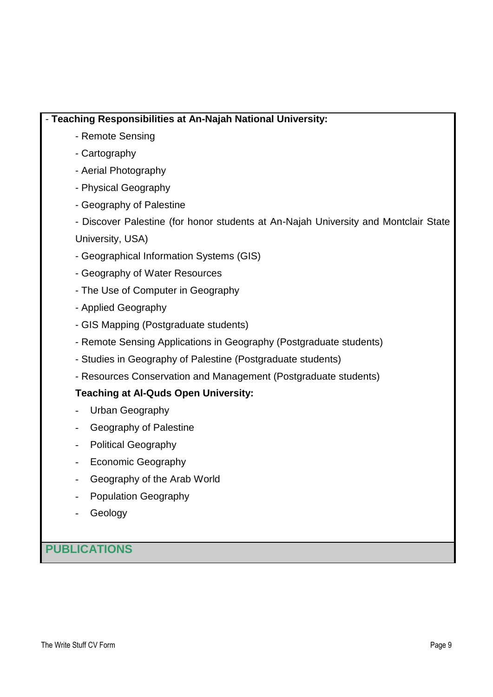#### - **Teaching Responsibilities at An-Najah National University:**

- Remote Sensing
- Cartography
- Aerial Photography
- Physical Geography
- Geography of Palestine
- Discover Palestine (for honor students at An-Najah University and Montclair State University, USA)
- Geographical Information Systems (GIS)
- Geography of Water Resources
- The Use of Computer in Geography
- Applied Geography
- GIS Mapping (Postgraduate students)
- Remote Sensing Applications in Geography (Postgraduate students)
- Studies in Geography of Palestine (Postgraduate students)
- Resources Conservation and Management (Postgraduate students)

#### **Teaching at Al-Quds Open University:**

- Urban Geography
- Geography of Palestine
- Political Geography
- Economic Geography
- Geography of the Arab World
- Population Geography
- **Geology**

**PUBLICATIONS**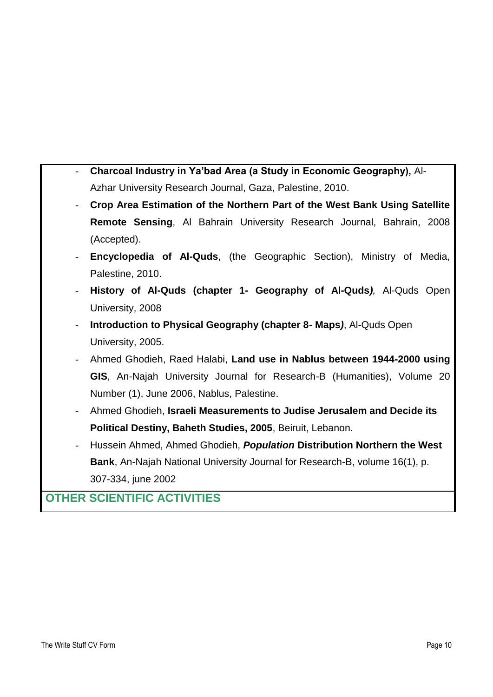- **Charcoal Industry in Ya'bad Area (a Study in Economic Geography),** Al-Azhar University Research Journal, Gaza, Palestine, 2010.
- **Crop Area Estimation of the Northern Part of the West Bank Using Satellite Remote Sensing**, Al Bahrain University Research Journal, Bahrain, 2008 (Accepted).
- **Encyclopedia of Al-Quds**, (the Geographic Section), Ministry of Media, Palestine, 2010.
- **History of Al-Quds (chapter 1- Geography of Al-Quds***),* Al-Quds Open University, 2008
- **Introduction to Physical Geography (chapter 8- Maps***)*, Al-Quds Open University, 2005.
- Ahmed Ghodieh, Raed Halabi, **Land use in Nablus between 1944-2000 using GIS**, An-Najah University Journal for Research-B (Humanities), Volume 20 Number (1), June 2006, Nablus, Palestine.
- Ahmed Ghodieh, **Israeli Measurements to Judise Jerusalem and Decide its Political Destiny, Baheth Studies, 2005**, Beiruit, Lebanon.
- Hussein Ahmed, Ahmed Ghodieh, *Population* **Distribution Northern the West Bank**, An-Najah National University Journal for Research-B, volume 16(1), p. 307-334, june 2002

## **OTHER SCIENTIFIC ACTIVITIES**